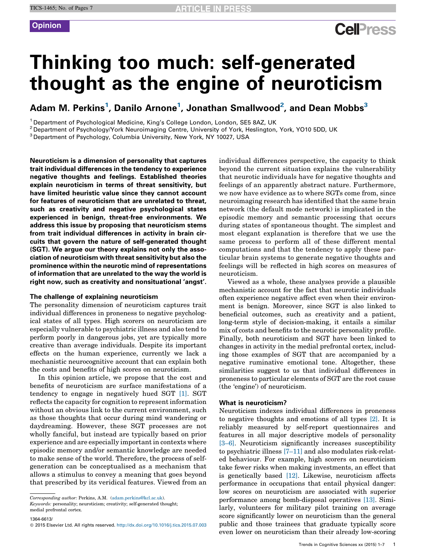## **Cell**<sup>ress</sup>

# Thinking too much: self-generated thought as the engine of neuroticism

Adam M. Perkins<sup>1</sup>, Danilo Arnone<sup>1</sup>, Jonathan Smallwood<sup>2</sup>, and Dean Mobbs<sup>3</sup>

<sup>1</sup> Department of Psychological Medicine, King's College London, London, SE5 8AZ, UK<br><sup>2</sup> Department of Psychology/York Neuroimaging Centre, University of York, Heslington, York, YO10 5DD, UK<br><sup>3</sup> Department of Psychology,

Neuroticism is a dimension of personality that captures trait individual differences in the tendency to experience negative thoughts and feelings. Established theories explain neuroticism in terms of threat sensitivity, but have limited heuristic value since they cannot account for features of neuroticism that are unrelated to threat, such as creativity and negative psychological states experienced in benign, threat-free environments. We address this issue by proposing that neuroticism stems from trait individual differences in activity in brain circuits that govern the nature of self-generated thought (SGT). We argue our theory explains not only the association of neuroticism with threat sensitivity but also the prominence within the neurotic mind of representations of information that are unrelated to the way the world is right now, such as creativity and nonsituational 'angst'.

#### The challenge of explaining neuroticism

The personality dimension of neuroticism captures trait individual differences in proneness to negative psychological states of all types. High scorers on neuroticism are especially vulnerable to psychiatric illness and also tend to perform poorly in dangerous jobs, yet are typically more creative than average individuals. Despite its important effects on the human experience, currently we lack a mechanistic neurocognitive account that can explain both the costs and benefits of high scores on neuroticism.

In this opinion article, we propose that the cost and benefits of neuroticism are surface manifestations of a tendency to engage in negatively hued SGT [\[1\]](#page-4-0). SGT reflects the capacity for cognition to representinformation without an obvious link to the current environment, such as those thoughts that occur during mind wandering or daydreaming. However, these SGT processes are not wholly fanciful, but instead are typically based on prior experience and are especially important in contexts where episodic memory and/or semantic knowledge are needed to make sense of the world. Therefore, the process of selfgeneration can be conceptualised as a mechanism that allows a stimulus to convey a meaning that goes beyond that prescribed by its veridical features. Viewed from an

Keywords: personality; neuroticism; creativity; self-generated thought; medial prefrontal cortex.

1364-6613/

individual differences perspective, the capacity to think beyond the current situation explains the vulnerability that neurotic individuals have for negative thoughts and feelings of an apparently abstract nature. Furthermore, we now have evidence as to where SGTs come from, since neuroimaging research has identified that the same brain network (the default mode network) is implicated in the episodic memory and semantic processing that occurs during states of spontaneous thought. The simplest and most elegant explanation is therefore that we use the same process to perform all of these different mental computations and that the tendency to apply these particular brain systems to generate negative thoughts and feelings will be reflected in high scores on measures of neuroticism.

Viewed as a whole, these analyses provide a plausible mechanistic account for the fact that neurotic individuals often experience negative affect even when their environment is benign. Moreover, since SGT is also linked to beneficial outcomes, such as creativity and a patient, long-term style of decision-making, it entails a similar mix of costs and benefits to the neurotic personality profile. Finally, both neuroticism and SGT have been linked to changes in activity in the medial prefrontal cortex, including those examples of SGT that are accompanied by a negative ruminative emotional tone. Altogether, these similarities suggest to us that individual differences in proneness to particular elements of SGT are the root cause (the 'engine') of neuroticism.

#### What is neuroticism?

Neuroticism indexes individual differences in proneness to negative thoughts and emotions of all types [\[2\]](#page-4-0). It is reliably measured by self-report questionnaires and features in all major descriptive models of personality [\[3–6\]](#page-4-0). Neuroticism significantly increases susceptibility to psychiatric illness  $[7-11]$  and also modulates risk-related behaviour. For example, high scorers on neuroticism take fewer risks when making investments, an effect that is genetically based [\[12\]](#page-5-0). Likewise, neuroticism affects performance in occupations that entail physical danger: low scores on neuroticism are associated with superior performance among bomb-disposal operatives [\[13\]](#page-5-0). Similarly, volunteers for military pilot training on average score significantly lower on neuroticism than the general public and those trainees that graduate typically score even lower on neuroticism than their already low-scoring

Corresponding author: Perkins, A.M. [\(adam.perkins@kcl.ac.uk\)](mailto:adam.perkins@kcl.ac.uk).

<sup>!</sup> 2015 Elsevier Ltd. All rights reserved. <http://dx.doi.org/10.1016/j.tics.2015.07.003>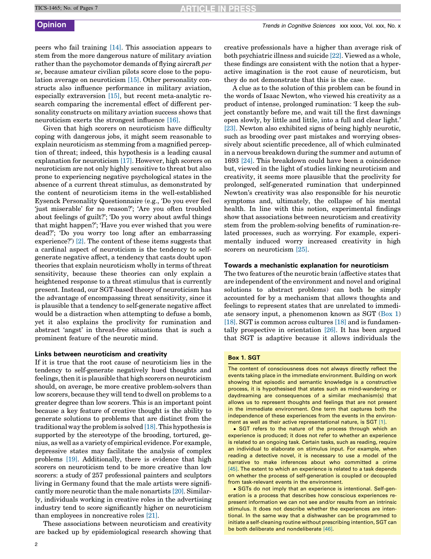peers who fail training [\[14\]](#page-5-0). This association appears to stem from the more dangerous nature of military aviation rather than the psychomotor demands of flying aircraft per se, because amateur civilian pilots score close to the population average on neuroticism [\[15\]](#page-5-0). Other personality constructs also influence performance in military aviation, especially extraversion [\[15\]](#page-5-0), but recent meta-analytic research comparing the incremental effect of different personality constructs on military aviation success shows that neuroticism exerts the strongest influence [\[16\].](#page-5-0)

Given that high scorers on neuroticism have difficulty coping with dangerous jobs, it might seem reasonable to explain neuroticism as stemming from a magnified perception of threat; indeed, this hypothesis is a leading causal explanation for neuroticism [\[17\].](#page-5-0) However, high scorers on neuroticism are not only highly sensitive to threat but also prone to experiencing negative psychological states in the absence of a current threat stimulus, as demonstrated by the content of neuroticism items in the well-established Eysenck Personality Questionnaire (e.g., 'Do you ever feel 'just miserable' for no reason?'; 'Are you often troubled about feelings of guilt?'; 'Do you worry about awful things that might happen?'; 'Have you ever wished that you were dead?'; 'Do you worry too long after an embarrassing experience?') [\[2\]](#page-4-0). The content of these items suggests that a cardinal aspect of neuroticism is the tendency to selfgenerate negative affect, a tendency that casts doubt upon theories that explain neuroticism wholly in terms of threat sensitivity, because these theories can only explain a heightened response to a threat stimulus that is currently present. Instead, our SGT-based theory of neuroticism has the advantage of encompassing threat sensitivity, since it is plausible that a tendency to self-generate negative affect would be a distraction when attempting to defuse a bomb, yet it also explains the proclivity for rumination and abstract 'angst' in threat-free situations that is such a prominent feature of the neurotic mind.

#### Links between neuroticism and creativity

If it is true that the root cause of neuroticism lies in the tendency to self-generate negatively hued thoughts and feelings, then it is plausible that high scorers on neuroticism should, on average, be more creative problem-solvers than low scorers, because they will tend to dwell on problems to a greater degree than low scorers. This is an important point because a key feature of creative thought is the ability to generate solutions to problems that are distinct from the traditional way the problem is solved [\[18\]](#page-5-0). This hypothesis is supported by the stereotype of the brooding, tortured, genius, as well as a variety of empirical evidence. For example, depressive states may facilitate the analysis of complex problems [\[19\]](#page-5-0). Additionally, there is evidence that high scorers on neuroticism tend to be more creative than low scorers: a study of 257 professional painters and sculptors living in Germany found that the male artists were significantly more neurotic than the male nonartists [\[20\]](#page-5-0). Similarly, individuals working in creative roles in the advertising industry tend to score significantly higher on neuroticism than employees in noncreative roles [\[21\].](#page-5-0)

These associations between neuroticism and creativity are backed up by epidemiological research showing that creative professionals have a higher than average risk of both psychiatric illness and suicide [\[22\]](#page-5-0). Viewed as a whole, these findings are consistent with the notion that a hyperactive imagination is the root cause of neuroticism, but they do not demonstrate that this is the case.

A clue as to the solution of this problem can be found in the words of Isaac Newton, who viewed his creativity as a product of intense, prolonged rumination: 'I keep the subject constantly before me, and wait till the first dawnings open slowly, by little and little, into a full and clear light.' [\[23\]](#page-5-0). Newton also exhibited signs of being highly neurotic, such as brooding over past mistakes and worrying obsessively about scientific precedence, all of which culminated in a nervous breakdown during the summer and autumn of 1693 [\[24\]](#page-5-0). This breakdown could have been a coincidence but, viewed in the light of studies linking neuroticism and creativity, it seems more plausible that the proclivity for prolonged, self-generated rumination that underpinned Newton's creativity was also responsible for his neurotic symptoms and, ultimately, the collapse of his mental health. In line with this notion, experimental findings show that associations between neuroticism and creativity stem from the problem-solving benefits of rumination-related processes, such as worrying. For example, experimentally induced worry increased creativity in high scorers on neuroticism [\[25\]](#page-5-0).

#### Towards a mechanistic explanation for neuroticism

The two features of the neurotic brain (affective states that are independent of the environment and novel and original solutions to abstract problems) can both be simply accounted for by a mechanism that allows thoughts and feelings to represent states that are unrelated to immediate sensory input, a phenomenon known as SGT (Box 1) [\[18\]](#page-5-0). SGT is common across cultures [\[18\]](#page-5-0) and is fundamentally prospective in orientation [\[26\]](#page-5-0). It has been argued that SGT is adaptive because it allows individuals the

#### Box 1. SGT

The content of consciousness does not always directly reflect the events taking place in the immediate environment. Building on work showing that episodic and semantic knowledge is a constructive process, it is hypothesised that states such as mind-wandering or daydreaming are consequences of a similar mechanism(s) that allows us to represent thoughts and feelings that are not present in the immediate environment. One term that captures both the independence of these experiences from the events in the environment as well as their active representational nature, is SGT [\[1\].](#page-4-0)

! SGT refers to the nature of the process through which an experience is produced; it does not refer to whether an experience is related to an ongoing task. Certain tasks, such as reading, require an individual to elaborate on stimulus input. For example, when reading a detective novel, it is necessary to use a model of the narrative to make inferences about who committed a crime [\[45\]](#page-5-0). The extent to which an experience is related to a task depends on whether the process of self-generation is coupled or decoupled from task-relevant events in the environment.

• SGTs do not imply that an experience is intentional. Self-generation is a process that describes how conscious experiences represent information we can not see and/or results from an intrinsic stimulus. It does not describe whether the experiences are intentional. In the same way that a dishwasher can be programmed to initiate a self-cleaning routine without prescribing intention, SGT can be both deliberate and nondeliberate [\[46\].](#page-5-0)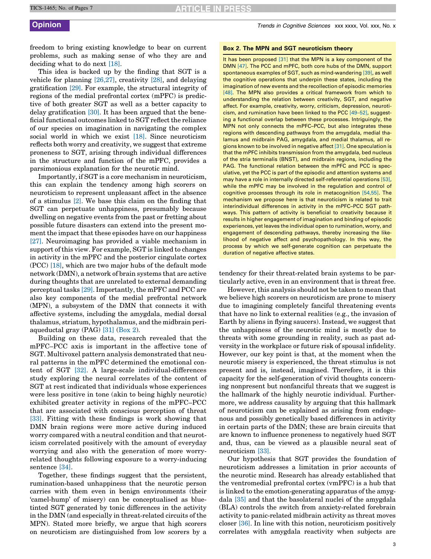freedom to bring existing knowledge to bear on current problems, such as making sense of who they are and deciding what to do next [\[18\].](#page-5-0)

This idea is backed up by the finding that SGT is a vehicle for planning [\[26,27\]](#page-5-0), creativity [\[28\],](#page-5-0) and delaying gratification [\[29\]](#page-5-0). For example, the structural integrity of regions of the medial prefrontal cortex (mPFC) is predictive of both greater SGT as well as a better capacity to delay gratification [\[30\]](#page-5-0). It has been argued that the beneficial functional outcomes linked to SGT reflect the reliance of our species on imagination in navigating the complex social world in which we exist [\[18\].](#page-5-0) Since neuroticism reflects both worry and creativity, we suggest that extreme proneness to SGT, arising through individual differences in the structure and function of the mPFC, provides a parsimonious explanation for the neurotic mind.

Importantly, if SGT is a core mechanism in neuroticism, this can explain the tendency among high scorers on neuroticism to represent unpleasant affect in the absence of a stimulus [\[2\].](#page-4-0) We base this claim on the finding that SGT can perpetuate unhappiness, presumably because dwelling on negative events from the past or fretting about possible future disasters can extend into the present moment the impact that these episodes have on our happiness [\[27\]](#page-5-0). Neuroimaging has provided a viable mechanism in support of this view. For example, SGT is linked to changes in activity in the mPFC and the posterior cingulate cortex (PCC) [\[18\],](#page-5-0) which are two major hubs of the default mode network (DMN), a network of brain systems that are active during thoughts that are unrelated to external demanding perceptual tasks [\[29\]](#page-5-0). Importantly, the mPFC and PCC are also key components of the medial prefrontal network (MPN), a subsystem of the DMN that connects it with affective systems, including the amygdala, medial dorsal thalamus, striatum, hypothalamus, and the midbrain periaqueductal gray (PAG) [\[31\]](#page-5-0) (Box 2).

Building on these data, research revealed that the mPFC–PCC axis is important in the affective tone of SGT. Multivoxel pattern analysis demonstrated that neural patterns in the mPFC determined the emotional content of SGT [\[32\].](#page-5-0) A large-scale individual-differences study exploring the neural correlates of the content of SGT at rest indicated that individuals whose experiences were less positive in tone (akin to being highly neurotic) exhibited greater activity in regions of the mPFC–PCC that are associated with conscious perception of threat [\[33\]](#page-5-0). Fitting with these findings is work showing that DMN brain regions were more active during induced worry compared with a neutral condition and that neuroticism correlated positively with the amount of everyday worrying and also with the generation of more worryrelated thoughts following exposure to a worry-inducing sentence [\[34\].](#page-5-0)

Together, these findings suggest that the persistent, rumination-based unhappiness that the neurotic person carries with them even in benign environments (their 'camel-hump' of misery) can be conceptualised as bluetinted SGT generated by tonic differences in the activity in the DMN (and especially in threat-related circuits of the MPN). Stated more briefly, we argue that high scorers on neuroticism are distinguished from low scorers by a

#### Box 2. The MPN and SGT neuroticism theory

It has been proposed [\[31\]](#page-5-0) that the MPN is a key component of the DMN [\[47\].](#page-5-0) The PCC and mPFC, both core hubs of the DMN, support spontaneous examples of SGT, such as mind-wandering [\[39\]](#page-5-0), as well the cognitive operations that underpin these states, including the imagination of new events and the recollection of episodic memories [\[48\]](#page-5-0). The MPN also provides a critical framework from which to understanding the relation between creativity, SGT, and negative affect. For example, creativity, worry, criticism, depression, neuroticism, and rumination have been linked to the PCC [\[49–52\]](#page-5-0), suggesting a functional overlap between these processes. Intriguingly, the MPN not only connects the mPFC–PCC, but also integrates these regions with descending pathways from the amygdala, medial thalamus and midbrain PAG, amygdala, and medial thalamus, all regions known to be involved in negative affect [\[31\].](#page-5-0) One speculation is that the mPFC inhibits transmission from the amygdala, bed nucleus of the stria terminalis (BNST), and midbrain regions, including the PAG. The functional relation between the mPFC and PCC is speculative, yet the PCC is part of the episodic and attention systems and may have a role in internally directed self-referential operations [\[53\],](#page-5-0) while the mPFC may be involved in the regulation and control of cognitive processes through its role in metacognition [\[54,55\]](#page-5-0). The mechanism we propose here is that neuroticism is related to trait interindividual differences in activity in the mPFC–PCC SGT pathways. This pattern of activity is beneficial to creativity because it results in higher engagement of imagination and binding of episodic experiences, yet leaves the individual open to rumination, worry, and engagement of descending pathways, thereby increasing the likelihood of negative affect and psychopathology. In this way, the process by which we self-generate cognition can perpetuate the duration of negative affective states.

tendency for their threat-related brain systems to be particularly active, even in an environment that is threat free.

However, this analysis should not be taken to mean that we believe high scorers on neuroticism are prone to misery due to imagining completely fanciful threatening events that have no link to external realities (e.g., the invasion of Earth by aliens in flying saucers). Instead, we suggest that the unhappiness of the neurotic mind is mostly due to threats with some grounding in reality, such as past adversity in the workplace or future risk of spousal infidelity. However, our key point is that, at the moment when the neurotic misery is experienced, the threat stimulus is not present and is, instead, imagined. Therefore, it is this capacity for the self-generation of vivid thoughts concerning nonpresent but nonfanciful threats that we suggest is the hallmark of the highly neurotic individual. Furthermore, we address causality by arguing that this hallmark of neuroticism can be explained as arising from endogenous and possibly genetically based differences in activity in certain parts of the DMN; these are brain circuits that are known to influence proneness to negatively hued SGT and, thus, can be viewed as a plausible neural seat of neuroticism [\[33\].](#page-5-0)

Our hypothesis that SGT provides the foundation of neuroticism addresses a limitation in prior accounts of the neurotic mind. Research has already established that the ventromedial prefrontal cortex (vmPFC) is a hub that is linked to the emotion-generating apparatus of the amygdala [\[35\]](#page-5-0) and that the basolateral nuclei of the amygdala (BLA) controls the switch from anxiety-related forebrain activity to panic-related midbrain activity as threat moves closer [\[36\].](#page-5-0) In line with this notion, neuroticism positively correlates with amygdala reactivity when subjects are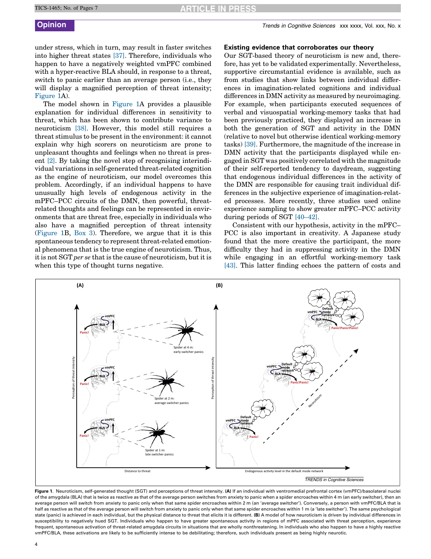under stress, which in turn, may result in faster switches into higher threat states [\[37\]](#page-5-0). Therefore, individuals who happen to have a negatively weighted vmPFC combined with a hyper-reactive BLA should, in response to a threat, switch to panic earlier than an average person (i.e., they will display a magnified perception of threat intensity; Figure 1A).

The model shown in Figure 1A provides a plausible explanation for individual differences in sensitivity to threat, which has been shown to contribute variance to neuroticism [\[38\]](#page-5-0). However, this model still requires a threat stimulus to be present in the environment: it cannot explain why high scorers on neuroticism are prone to unpleasant thoughts and feelings when no threat is present [\[2\]](#page-4-0). By taking the novel step of recognising interindividual variations in self-generated threat-related cognition as the engine of neuroticism, our model overcomes this problem. Accordingly, if an individual happens to have unusually high levels of endogenous activity in the mPFC–PCC circuits of the DMN, then powerful, threatrelated thoughts and feelings can be represented in environments that are threat free, especially in individuals who also have a magnified perception of threat intensity (Figure 1B, [Box](#page-4-0) 3). Therefore, we argue that it is this spontaneous tendency to represent threat-related emotional phenomena that is the true engine of neuroticism. Thus, it is not SGT per se that is the cause of neuroticism, but it is when this type of thought turns negative.

### Existing evidence that corroborates our theory

Our SGT-based theory of neuroticism is new and, therefore, has yet to be validated experimentally. Nevertheless, supportive circumstantial evidence is available, such as from studies that show links between individual differences in imagination-related cognitions and individual differences in DMN activity as measured by neuroimaging. For example, when participants executed sequences of verbal and visuospatial working-memory tasks that had been previously practiced, they displayed an increase in both the generation of SGT and activity in the DMN (relative to novel but otherwise identical working-memory tasks) [\[39\].](#page-5-0) Furthermore, the magnitude of the increase in DMN activity that the participants displayed while engaged in SGT was positively correlated with the magnitude of their self-reported tendency to daydream, suggesting that endogenous individual differences in the activity of the DMN are responsible for causing trait individual differences in the subjective experience of imagination-related processes. More recently, three studies used online experience sampling to show greater mPFC–PCC activity during periods of SGT [\[40–42\]](#page-5-0).

Consistent with our hypothesis, activity in the mPFC– PCC is also important in creativity. A Japanese study found that the more creative the participant, the more difficulty they had in suppressing activity in the DMN while engaging in an effortful working-memory task [\[43\]](#page-5-0). This latter finding echoes the pattern of costs and



Figure 1. Neuroticism, self-generated thought (SGT) and perceptions of threat intensity. (A) If an individual with ventromedial prefrontal cortex (vmPFC)/basolateral nuclei of the amygdala (BLA) that is twice as reactive as that of the average person switches from anxiety to panic when a spider encroaches within 4 m (an early switcher), then an average person will switch from anxiety to panic only when that same spider encroaches within 2 m (an 'average switcher'). Conversely, a person with vmPFC/BLA that is half as reactive as that of the average person will switch from anxiety to panic only when that same spider encroaches within 1 m (a 'late switcher'). The same psychological state (panic) is achieved in each individual, but the physical distance to threat that elicits it is different. (B) A model of how neuroticism is driven by individual differences in susceptibility to negatively hued SGT. Individuals who happen to have greater spontaneous activity in regions of mPFC associated with threat perception, experience frequent, spontaneous activation of threat-related amygdala circuits in situations that are wholly nonthreatening. In individuals who also happen to have a highly reactive vmPFC/BLA, these activations are likely to be sufficiently intense to be debilitating; therefore, such individuals present as being highly neurotic.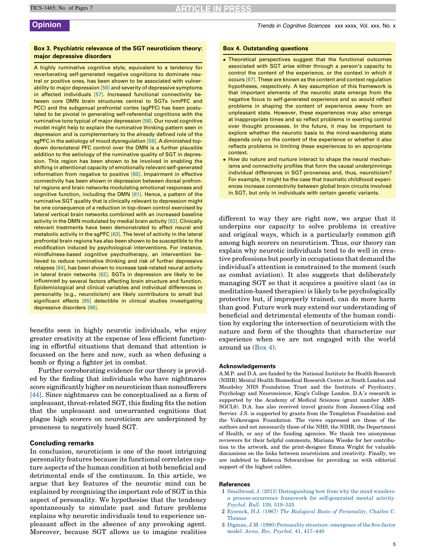### <span id="page-4-0"></span>Box 3. Psychiatric relevance of the SGT neuroticism theory: major depressive disorders

A highly ruminative cognitive style, equivalent to a tendency for reverberating self-generated negative cognitions to dominate neutral or positive ones, has been shown to be associated with vulnerability to major depression [\[56\]](#page-5-0) and severity of depressive symptoms in affected individuals [\[57\].](#page-5-0) Increased functional connectivity between core DMN brain structures central to SGTs (vmPFC and PCC) and the subgenual prefrontal cortex (sgPFC) has been postulated to be pivotal in generating self-referential cognitions with the ruminative tone typical of major depression [\[58\].](#page-6-0) Our novel cognitive model might help to explain the ruminative thinking pattern seen in depression and is complementary to the already defined role of the sgPFC in the aetiology of mood dysregulation [\[59\].](#page-6-0) A diminished topdown dorsolateral PFC control over the DMN is a further plausible addition to the aetiology of the ruminative quality of SGT in depression. This region has been shown to be involved in enabling the shifting in attentional capacity of emotionally relevant self-generated information from negative to positive [\[60\].](#page-6-0) Impairment in effective connectivity has been shown in depression between dorsal prefrontal regions and brain networks modulating emotional responses and cognitive function, including the DMN [\[61\].](#page-6-0) Hence, a pattern of the ruminative SGT quality that is clinically relevant to depression might be one consequence of a reduction in top-down control exercised by lateral vertical brain networks combined with an increased baseline activity in the DMN modulated by medial brain activity [\[62\]](#page-6-0). Clinically relevant treatments have been demonstrated to affect neural and metabolic activity in the sgPFC [\[63\].](#page-6-0) The level of activity in the lateral prefrontal brain regions has also been shown to be susceptible to the modification induced by psychological interventions. For instance, mindfulness-based cognitive psychotherapy, an intervention believed to reduce ruminative thinking and risk of further depressive relapses [\[64\],](#page-6-0) has been shown to increase task-related neural activity in lateral brain networks [\[62\]](#page-6-0). SGTs in depression are likely to be influenced by several factors affecting brain structure and function. Epidemiological and clinical variables and individual differences in personality (e.g., neuroticism) are likely contributors to small but significant effects [\[65\]](#page-6-0) detectible in clinical studies investigating depressive disorders [\[66\].](#page-6-0)

benefits seen in highly neurotic individuals, who enjoy greater creativity at the expense of less efficient functioning in effortful situations that demand that attention is focussed on the here and now, such as when defusing a bomb or flying a fighter jet in combat.

Further corroborating evidence for our theory is provided by the finding that individuals who have nightmares score significantly higher on neuroticism than nonsufferers [\[44\]](#page-5-0). Since nightmares can be conceptualised as a form of unpleasant, threat-related SGT, this finding fits the notion that the unpleasant and unwarranted cognitions that plague high scorers on neuroticism are underpinned by proneness to negatively hued SGT.

### Concluding remarks

In conclusion, neuroticism is one of the most intriguing personality features because its functional correlates capture aspects of the human condition at both beneficial and detrimental ends of the continuum. In this article, we argue that key features of the neurotic mind can be explained by recognising the important role of SGT in this aspect of personality. We hypothesise that the tendency spontaneously to simulate past and future problems explains why neurotic individuals tend to experience unpleasant affect in the absence of any provoking agent. Moreover, because SGT allows us to imagine realities

#### Box 4. Outstanding questions

- . Theoretical perspectives suggest that the functional outcomes associated with SGT arise either through a person's capacity to control the content of the experience, or the context in which it occurs [\[67\].](#page-6-0) These are known as the content and context regulation hypotheses, respectively. A key assumption of this framework is that important elements of the neurotic state emerge from the negative focus to self-generated experience and so would reflect problems in shaping the content of experience away from an unpleasant state. However, these experiences may also emerge at inappropriate times and so reflect problems in exerting control over thought processes. In the future, it may be important to explore whether the neurotic basis to the mind-wandering state depends only on the content of the experience or whether it also reflects problems in limiting these experiences to an appropriate context.
- . How do nature and nurture interact to shape the neural mechanisms and connectivity profiles that form the causal underpinnings individual differences in SGT-proneness and, thus, neuroticism? For example, it might be the case that traumatic childhood experiences increase connectivity between global brain circuits involved in SGT, but only in individuals with certain genetic variants.

different to way they are right now, we argue that it underpins our capacity to solve problems in creative and original ways, which is a particularly common gift among high scorers on neuroticism. Thus, our theory can explain why neurotic individuals tend to do well in creative professions but poorly in occupations that demand the individual's attention is constrained to the moment (such as combat aviation). It also suggests that deliberately managing SGT so that it acquires a positive slant (as in meditation-based therapies) is likely to be psychologically protective but, if improperly trained, can do more harm than good. Future work may extend our understanding of beneficial and detrimental elements of the human condition by exploring the intersection of neuroticism with the nature and form of the thoughts that characterize our experience when we are not engaged with the world around us (Box 4).

#### Acknowledgements

A.M.P. and D.A. are funded by the National Institute for Health Research (NIHR) Mental Health Biomedical Research Centre at South London and Maudsley NHS Foundation Trust and the Institute of Psychiatry, Psychology and Neuroscience, King's College London. D.A.'s research is supported by the Academy of Medical Sciences (grant number AMS-SGCL8). D.A. has also received travel grants from Janssen-Cilag and Servier. J.S. is supported by grants from the Templeton Foundation and the Volkswagen Foundation. The views expressed are those of the authors and not necessarily those of the NHS, the NIHR, the Department of Health, or any of the funding agencies. We thank two anonymous reviewers for their helpful comments, Mariana Wieske for her contribution to the artwork, and the print-designer Emma Wright for valuable discussions on the links between neuroticism and creativity. Finally, we are indebted to Rebecca Schwarzlose for providing us with editorial support of the highest calibre.

#### **References**

- 1 Smallwood, J. (2013) [Distinguishing](http://refhub.elsevier.com/S1364-6613(15)00154-0/sbref0340) how from why the mind wanders: a [process-occurrence](http://refhub.elsevier.com/S1364-6613(15)00154-0/sbref0340) framework for self-generated mental activity. Psychol. Bull. 139, [519–535](http://refhub.elsevier.com/S1364-6613(15)00154-0/sbref0340)
- 2 Eysenck, H.J. (1967) The Biological Basis of [Personality](http://refhub.elsevier.com/S1364-6613(15)00154-0/sbref0345), Charles C. [Thomas](http://refhub.elsevier.com/S1364-6613(15)00154-0/sbref0345)
- 3 Digman, J.M. (1990) [Personality](http://refhub.elsevier.com/S1364-6613(15)00154-0/sbref0350) structure: emergence of the five-factor model. Annu. Rev. Psychol. 41, [417–440](http://refhub.elsevier.com/S1364-6613(15)00154-0/sbref0350)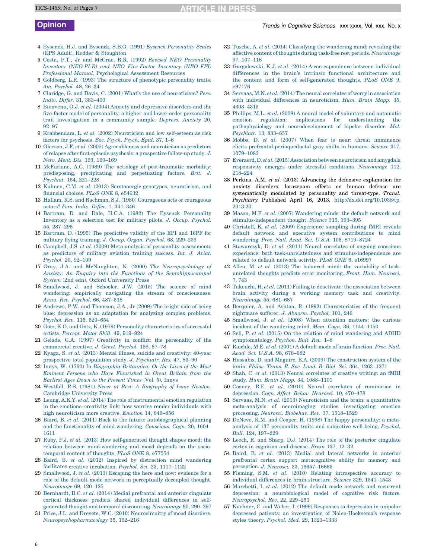- <span id="page-5-0"></span>4 Eysenck, H.J. and Eysenck, S.B.G. (1991) Eysenck [Personality](http://refhub.elsevier.com/S1364-6613(15)00154-0/sbref0355) Scales (EPS Adult), Hodder & [Stoughton](http://refhub.elsevier.com/S1364-6613(15)00154-0/sbref0355)
- 5 Costa, P.T., Jr and McCrae, R.R. (1992) Revised NEO [Personality](http://refhub.elsevier.com/S1364-6613(15)00154-0/sbref0360) Inventory [\(NEO-PI-R\)](http://refhub.elsevier.com/S1364-6613(15)00154-0/sbref0360) and NEO Five-Factor Inventory (NEO–FFI) Professional Manual, [Psychological](http://refhub.elsevier.com/S1364-6613(15)00154-0/sbref0360) Assessment Resources
- 6 Goldberg, L.R. (1993) The structure of phenotypic [personality](http://refhub.elsevier.com/S1364-6613(15)00154-0/sbref0365) traits. Am. [Psychol.](http://refhub.elsevier.com/S1364-6613(15)00154-0/sbref0365) 48, 26–34
- 7 Claridge, G. and Davis, C. (2001) What's the use of [neuroticism?](http://refhub.elsevier.com/S1364-6613(15)00154-0/sbref0370) Pers. Indiv. Differ. 31, [383–400](http://refhub.elsevier.com/S1364-6613(15)00154-0/sbref0370)
- 8 Bienvenu, O.J. et al. (2004) Anxiety and [depressive](http://refhub.elsevier.com/S1364-6613(15)00154-0/sbref0375) disorders and the five-factor model of [personality:](http://refhub.elsevier.com/S1364-6613(15)00154-0/sbref0375) a higher-and lower-order personality trait [investigation](http://refhub.elsevier.com/S1364-6613(15)00154-0/sbref0375) in a community sample. Depress. Anxiety 20, [92–97](http://refhub.elsevier.com/S1364-6613(15)00154-0/sbref0375)
- 9 [Krabbendam,](http://refhub.elsevier.com/S1364-6613(15)00154-0/sbref0380) L. et al. (2002) Neuroticism and low self-esteem as risk factors for [psychosis.](http://refhub.elsevier.com/S1364-6613(15)00154-0/sbref0380) Soc. Psych. Psych. Epid. 37, 1–6
- 10 Gleeson, J.F. et al. (2005) [Agreeableness](http://refhub.elsevier.com/S1364-6613(15)00154-0/sbref0385) and neuroticism as predictors of relapse after [first-episode](http://refhub.elsevier.com/S1364-6613(15)00154-0/sbref0385) psychosis: a prospective follow-up study. J. Nerv. Ment. Dis. 193, [160–169](http://refhub.elsevier.com/S1364-6613(15)00154-0/sbref0385)
- 11 McFarlane, A.C. (1989) The aetiology of [post-traumatic](http://refhub.elsevier.com/S1364-6613(15)00154-0/sbref0390) morbidity: [predisposing,](http://refhub.elsevier.com/S1364-6613(15)00154-0/sbref0390) precipitating and perpetuating factors. Brit. J. [Psychiat.](http://refhub.elsevier.com/S1364-6613(15)00154-0/sbref0390) 154, 221–228
- 12 Kuhnen, C.M. et al. (2013) [Serotonergic](http://refhub.elsevier.com/S1364-6613(15)00154-0/sbref0395) genotypes, neuroticism, and [financial](http://refhub.elsevier.com/S1364-6613(15)00154-0/sbref0395) choices. PLoS ONE 8, e54632
- 13 Hallam, R.S. and Rachman, S.J. (1980) [Courageous](http://refhub.elsevier.com/S1364-6613(15)00154-0/sbref0400) acts or courageous actors? Pers. Indiv. Differ. 1, [341–346](http://refhub.elsevier.com/S1364-6613(15)00154-0/sbref0400)
- 14 Bartram, D. and Dale, H.C.A. (1982) The Eysenck [Personality](http://refhub.elsevier.com/S1364-6613(15)00154-0/sbref0405) [Inventory](http://refhub.elsevier.com/S1364-6613(15)00154-0/sbref0405) as a selection test for military pilots. J. Occup. Psychol. 55, [287–296](http://refhub.elsevier.com/S1364-6613(15)00154-0/sbref0405)
- 15 Bartram, D. (1995) The [predictive](http://refhub.elsevier.com/S1364-6613(15)00154-0/sbref0410) validity of the EPI and 16PF for military flying [training.](http://refhub.elsevier.com/S1364-6613(15)00154-0/sbref0410) J. Occup. Organ. Psychol. 68, 229–236
- 16 Campbell, J.S. et al. (2009) [Meta-analysis](http://refhub.elsevier.com/S1364-6613(15)00154-0/sbref0415) of personality assessments as [predictors](http://refhub.elsevier.com/S1364-6613(15)00154-0/sbref0415) of military aviation training success. Int. J. Aviat. [Psychol.](http://refhub.elsevier.com/S1364-6613(15)00154-0/sbref0415) 20, 92–109
- 17 Gray, J.A. and McNaughton, N. (2000) The [Neuropsychology](http://refhub.elsevier.com/S1364-6613(15)00154-0/sbref0420) of Anxiety: An Enquiry into the Functions of the [Septohippocampal](http://refhub.elsevier.com/S1364-6613(15)00154-0/sbref0420) System (2nd edn), Oxford [University](http://refhub.elsevier.com/S1364-6613(15)00154-0/sbref0420) Press
- 18 [Smallwood,](http://refhub.elsevier.com/S1364-6613(15)00154-0/sbref0425) J. and Schooler, J.W. (2015) The science of mind wandering: empirically navigating the stream of [consciousness.](http://refhub.elsevier.com/S1364-6613(15)00154-0/sbref0425) Annu. Rev. Psychol. 66, [487–518](http://refhub.elsevier.com/S1364-6613(15)00154-0/sbref0425)
- 19 Andrews, P.W. and [Thomson,](http://refhub.elsevier.com/S1364-6613(15)00154-0/sbref0430) J.A., Jr (2009) The bright side of being blue: depression as an [adaptation](http://refhub.elsevier.com/S1364-6613(15)00154-0/sbref0430) for analyzing complex problems. Psychol. Rev. 116, [620–654](http://refhub.elsevier.com/S1364-6613(15)00154-0/sbref0430)
- 20 Götz, K.O. and Götz, K. (1979) Personality [characteristics](http://refhub.elsevier.com/S1364-6613(15)00154-0/sbref0435) of successful artists. Percept. Motor Skill. 49, [919–924](http://refhub.elsevier.com/S1364-6613(15)00154-0/sbref0435)
- 21 Gelade, G.A. (1997) Creativity in conflict: the [personality](http://refhub.elsevier.com/S1364-6613(15)00154-0/sbref0440) of the [commercial](http://refhub.elsevier.com/S1364-6613(15)00154-0/sbref0440) creative. J. Genet. Psychol. 158, 67–78
- 22 Kyaga, S. et al. (2013) Mental illness, suicide and [creativity:](http://refhub.elsevier.com/S1364-6613(15)00154-0/sbref0445) 40-year [prospective](http://refhub.elsevier.com/S1364-6613(15)00154-0/sbref0445) total population study. J. Psychiatr. Res. 47, 83–90
- 23 Innys, W. (1760) In Biographia [Britannica:](http://refhub.elsevier.com/S1364-6613(15)00154-0/sbref0450) Or the Lives of the Most Eminent Persons who Have [Flourished](http://refhub.elsevier.com/S1364-6613(15)00154-0/sbref0450) in Great Britain from the [Earliest](http://refhub.elsevier.com/S1364-6613(15)00154-0/sbref0450) Ages Down to the Present Times (Vol. 5), Innys
- 24 Westfall, R.S. (1981) Never at Rest: A [Biography](http://refhub.elsevier.com/S1364-6613(15)00154-0/sbref0455) of Isaac Newton, [Cambridge](http://refhub.elsevier.com/S1364-6613(15)00154-0/sbref0455) University Press
- 25 Leung, A.K.Y. et al. (2014) The role of [instrumental](http://refhub.elsevier.com/S1364-6613(15)00154-0/sbref0460) emotion regulation in the [emotions–creativity](http://refhub.elsevier.com/S1364-6613(15)00154-0/sbref0460) link: how worries render individuals with high [neuroticism](http://refhub.elsevier.com/S1364-6613(15)00154-0/sbref0460) more creative. Emotion 14, 846–856
- 26 Baird, B. et al. (2011) Back to the future: [autobiographical](http://refhub.elsevier.com/S1364-6613(15)00154-0/sbref0465) planning and the functionality of [mind-wandering.](http://refhub.elsevier.com/S1364-6613(15)00154-0/sbref0465) Conscious. Cogn. 20, 1604– [1611](http://refhub.elsevier.com/S1364-6613(15)00154-0/sbref0465)
- 27 Ruby, F.J. et al. (2013) How [self-generated](http://refhub.elsevier.com/S1364-6613(15)00154-0/sbref0470) thought shapes mood: the relation between [mind-wandering](http://refhub.elsevier.com/S1364-6613(15)00154-0/sbref0470) and mood depends on the sociotemporal content of [thoughts.](http://refhub.elsevier.com/S1364-6613(15)00154-0/sbref0470) PLoS ONE 8, e77554
- 28 Baird, B. et al. (2012) Inspired by [distraction](http://refhub.elsevier.com/S1364-6613(15)00154-0/sbref0475) mind wandering facilitates creative [incubation.](http://refhub.elsevier.com/S1364-6613(15)00154-0/sbref0475) Psychol. Sci. 23, 1117–1122
- 29 [Smallwood,](http://refhub.elsevier.com/S1364-6613(15)00154-0/sbref0480) J. et al. (2013) Escaping the here and now: evidence for a role of the default mode network in [perceptually](http://refhub.elsevier.com/S1364-6613(15)00154-0/sbref0480) decoupled thought. [Neuroimage](http://refhub.elsevier.com/S1364-6613(15)00154-0/sbref0480) 69, 120–125
- 30 [Bernhardt,](http://refhub.elsevier.com/S1364-6613(15)00154-0/sbref0485) B.C. et al. (2014) Medial prefrontal and anterior cingulate cortical thickness predicts shared individual [differences](http://refhub.elsevier.com/S1364-6613(15)00154-0/sbref0485) in selfgenerated thought and temporal [discounting.](http://refhub.elsevier.com/S1364-6613(15)00154-0/sbref0485) Neuroimage 90, 290–297
- 31 Price, J.L. and Drevets, W.C. (2010) [Neurocircuitry](http://refhub.elsevier.com/S1364-6613(15)00154-0/sbref0490) of mood disorders. [Neuropsychopharmacology](http://refhub.elsevier.com/S1364-6613(15)00154-0/sbref0490) 35, 192–216
- 32 Tusche, A. et al.  $(2014)$  [Classifying](http://refhub.elsevier.com/S1364-6613(15)00154-0/sbref0495) the wandering mind: revealing the affective content of thoughts during task-free rest periods. [Neuroimage](http://refhub.elsevier.com/S1364-6613(15)00154-0/sbref0495) 97, [107–116](http://refhub.elsevier.com/S1364-6613(15)00154-0/sbref0495)
- 33 Gorgolewski, K.J. et al. (2014) A [correspondence](http://refhub.elsevier.com/S1364-6613(15)00154-0/sbref0500) between individual differences in the brain's intrinsic functional [architecture](http://refhub.elsevier.com/S1364-6613(15)00154-0/sbref0500) and the content and form of [self-generated](http://refhub.elsevier.com/S1364-6613(15)00154-0/sbref0500) thoughts. PLoS ONE 9, [e97176](http://refhub.elsevier.com/S1364-6613(15)00154-0/sbref0500)
- 34 Servaas, M.N. et al. (2014) The neural correlates of worry in [association](http://refhub.elsevier.com/S1364-6613(15)00154-0/sbref0505) with individual differences in [neuroticism.](http://refhub.elsevier.com/S1364-6613(15)00154-0/sbref0505) Hum. Brain Mapp. 35, [4303–4315](http://refhub.elsevier.com/S1364-6613(15)00154-0/sbref0505)
- 35 Phillips, M.L. et al. (2008) A neural model of voluntary and [automatic](http://refhub.elsevier.com/S1364-6613(15)00154-0/sbref0510) emotion regulation: implications for [understanding](http://refhub.elsevier.com/S1364-6613(15)00154-0/sbref0510) the pathophysiology and [neurodevelopment](http://refhub.elsevier.com/S1364-6613(15)00154-0/sbref0510) of bipolar disorder. Mol. [Psychiatr.](http://refhub.elsevier.com/S1364-6613(15)00154-0/sbref0510) 13, 833–857
- 36 Mobbs, D. et al. (2007) When fear is near: threat [imminence](http://refhub.elsevier.com/S1364-6613(15)00154-0/sbref0515) elicits [prefrontal-periaqueductal](http://refhub.elsevier.com/S1364-6613(15)00154-0/sbref0515) gray shifts in humans. Science 317, [1079–1083](http://refhub.elsevier.com/S1364-6613(15)00154-0/sbref0515)
- 37 Everaerd, D. et al.  $(2015)$  Association between neuroticism and amygdala responsivity emerges under stressful conditions. [Neuroimage](http://refhub.elsevier.com/S1364-6613(15)00154-0/sbref0520) 112, [218–224](http://refhub.elsevier.com/S1364-6613(15)00154-0/sbref0520)
- 38 Perkins, A.M. et al. (2013) Advancing the defensive explanation for anxiety disorders: lorazepam effects on human defense are systematically modulated by personality and threat-type. Transl. Psychiatry Published April 16, 2013. http://dx.doi.org/10.1038/tp. 2013.20
- 39 Mason, M.F. et al. (2007) [Wandering](http://refhub.elsevier.com/S1364-6613(15)00154-0/sbref0530) minds: the default network and [stimulus-independent](http://refhub.elsevier.com/S1364-6613(15)00154-0/sbref0530) thought. Science 315, 393–395
- 40 Christoff, K. et al. (2009) [Experience](http://refhub.elsevier.com/S1364-6613(15)00154-0/sbref0535) sampling during fMRI reveals default network and executive system [contributions](http://refhub.elsevier.com/S1364-6613(15)00154-0/sbref0535) to mind [wandering.](http://refhub.elsevier.com/S1364-6613(15)00154-0/sbref0535) Proc. Natl. Acad. Sci. U.S.A. 106, 8719–8724
- 41 [Stawarczyk,](http://refhub.elsevier.com/S1364-6613(15)00154-0/sbref0540) D. et al. (2011) Neural correlates of ongoing conscious experience: both task-unrelatedness and [stimulus-independence](http://refhub.elsevier.com/S1364-6613(15)00154-0/sbref0540) are related to default [network](http://refhub.elsevier.com/S1364-6613(15)00154-0/sbref0540) activity. PLoS ONE 6, e16997
- 42 Allen, M. et al. (2013) The balanced mind: the [variability](http://refhub.elsevier.com/S1364-6613(15)00154-0/sbref0545) of taskunrelated thoughts predicts error [monitoring.](http://refhub.elsevier.com/S1364-6613(15)00154-0/sbref0545) Front. Hum. Neurosci. 7, [743](http://refhub.elsevier.com/S1364-6613(15)00154-0/sbref0545)
- 43 Takeuchi, H. et al. (2011) Failing to deactivate: the [association](http://refhub.elsevier.com/S1364-6613(15)00154-0/sbref0550) between brain activity during a working memory task and [creativity.](http://refhub.elsevier.com/S1364-6613(15)00154-0/sbref0550) [Neuroimage](http://refhub.elsevier.com/S1364-6613(15)00154-0/sbref0550) 55, 681–687
- 44 Berquier, A. and Ashton, R. (1992) [Characteristics](http://refhub.elsevier.com/S1364-6613(15)00154-0/sbref0555) of the frequent [nightmare](http://refhub.elsevier.com/S1364-6613(15)00154-0/sbref0555) sufferer. J. Abnorm. Psychol. 101, 246
- 45 [Smallwood,](http://refhub.elsevier.com/S1364-6613(15)00154-0/sbref0560) J. et al. (2008) When attention matters: the curious incident of the wandering mind. Mem. Cogn. 36, [1144–1150](http://refhub.elsevier.com/S1364-6613(15)00154-0/sbref0560)
- 46 Seli, P. et al. (2015) On the relation of mind [wandering](http://refhub.elsevier.com/S1364-6613(15)00154-0/sbref0565) and ADHD [symptomatology.](http://refhub.elsevier.com/S1364-6613(15)00154-0/sbref0565) Psychon. Bull. Rev. 1–8
- 47 Raichle, M.E. et al. (2001) A default mode of brain [function.](http://refhub.elsevier.com/S1364-6613(15)00154-0/sbref0570) Proc. Natl. Acad. Sci. U.S.A. 98, [676–682](http://refhub.elsevier.com/S1364-6613(15)00154-0/sbref0570)
- 48 Hassabis, D. and Maguire, E.A. (2009) The [construction](http://refhub.elsevier.com/S1364-6613(15)00154-0/sbref0575) system of the brain. Philos. Trans. R. Soc. Lond. B: Biol. Sci. 364, [1263–1271](http://refhub.elsevier.com/S1364-6613(15)00154-0/sbref0575)
- 49 Shah, C. et al. (2013) Neural [correlates](http://refhub.elsevier.com/S1364-6613(15)00154-0/sbref0580) of creative writing: an fMRI study. Hum. Brain Mapp. 34, [1088–1101](http://refhub.elsevier.com/S1364-6613(15)00154-0/sbref0580)
- 50 Cooney, R.E. et al. (2010) Neural correlates of [rumination](http://refhub.elsevier.com/S1364-6613(15)00154-0/sbref0585) in [depression.](http://refhub.elsevier.com/S1364-6613(15)00154-0/sbref0585) Cogn. Affect. Behav. Neurosci. 10, 470–478
- 51 Servaas, M.N. et al. (2013) Neuroticism and the brain: a [quantitative](http://refhub.elsevier.com/S1364-6613(15)00154-0/sbref0590) meta-analysis of [neuroimaging](http://refhub.elsevier.com/S1364-6613(15)00154-0/sbref0590) studies investigating emotion [processing.](http://refhub.elsevier.com/S1364-6613(15)00154-0/sbref0590) Neurosci. Biobehav. Rev. 37, 1518–1529
- 52 DeNeve, K.M. and Cooper, H. (1998) The happy [personality:](http://refhub.elsevier.com/S1364-6613(15)00154-0/sbref0595) a metaanalysis of 137 [personality](http://refhub.elsevier.com/S1364-6613(15)00154-0/sbref0595) traits and subjective well-being. Psychol. Bull. 124, [197–229](http://refhub.elsevier.com/S1364-6613(15)00154-0/sbref0595)
- 53 Leech, R. and Sharp, D.J. (2014) The role of the posterior [cingulate](http://refhub.elsevier.com/S1364-6613(15)00154-0/sbref0600) cortex in [cognition](http://refhub.elsevier.com/S1364-6613(15)00154-0/sbref0600) and disease. Brain 137, 12–32
- 54 Baird, B. et al. (2013) Medial and lateral [networks](http://refhub.elsevier.com/S1364-6613(15)00154-0/sbref0605) in anterior prefrontal cortex support [metacognitive](http://refhub.elsevier.com/S1364-6613(15)00154-0/sbref0605) ability for memory and perception. J. Neurosci. 33, [16657–16665](http://refhub.elsevier.com/S1364-6613(15)00154-0/sbref0605)
- 55 Fleming, S.M. et al. (2010) Relating [introspective](http://refhub.elsevier.com/S1364-6613(15)00154-0/sbref0610) accuracy to individual differences in brain structure. Science 329, [1541–1543](http://refhub.elsevier.com/S1364-6613(15)00154-0/sbref0610)
- 56 [Marchetti,](http://refhub.elsevier.com/S1364-6613(15)00154-0/sbref0615) I. et al. (2012) The default mode network and recurrent depression: a [neurobiological](http://refhub.elsevier.com/S1364-6613(15)00154-0/sbref0615) model of cognitive risk factors. [Neuropsychol.](http://refhub.elsevier.com/S1364-6613(15)00154-0/sbref0615) Rev. 22, 229–251
- 57 Kuehner, C. and Weber, I. (1999) Responses to [depression](http://refhub.elsevier.com/S1364-6613(15)00154-0/sbref0620) in unipolar depressed patients: an investigation of [Nolen-Hoeksema's](http://refhub.elsevier.com/S1364-6613(15)00154-0/sbref0620) response styles theory. Psychol. Med. 29, [1323–1333](http://refhub.elsevier.com/S1364-6613(15)00154-0/sbref0620)